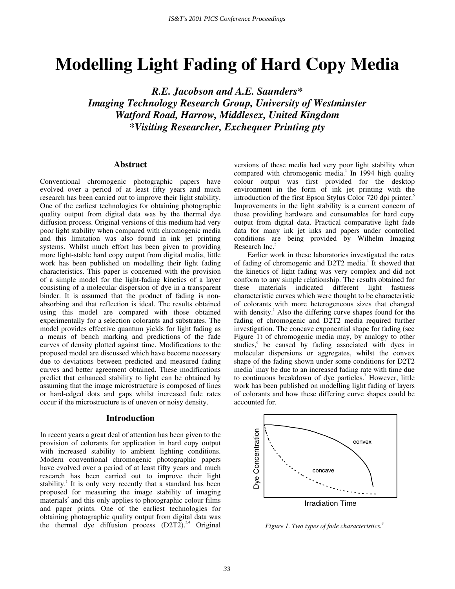# **Modelling Light Fading of Hard Copy Media**

*R.E. Jacobson and A.E. Saunders\* Imaging Technology Research Group, University of Westminster Watford Road, Harrow, Middlesex, United Kingdom \*Visiting Researcher, Exchequer Printing pty* 

#### **Abstract**

Conventional chromogenic photographic papers have evolved over a period of at least fifty years and much research has been carried out to improve their light stability. One of the earliest technologies for obtaining photographic quality output from digital data was by the thermal dye diffusion process. Original versions of this medium had very poor light stability when compared with chromogenic media and this limitation was also found in ink jet printing systems. Whilst much effort has been given to providing more light-stable hard copy output from digital media, little work has been published on modelling their light fading characteristics. This paper is concerned with the provision of a simple model for the light-fading kinetics of a layer consisting of a molecular dispersion of dye in a transparent binder. It is assumed that the product of fading is nonabsorbing and that reflection is ideal. The results obtained using this model are compared with those obtained experimentally for a selection colorants and substrates. The model provides effective quantum yields for light fading as a means of bench marking and predictions of the fade curves of density plotted against time. Modifications to the proposed model are discussed which have become necessary due to deviations between predicted and measured fading curves and better agreement obtained. These modifications predict that enhanced stability to light can be obtained by assuming that the image microstructure is composed of lines or hard-edged dots and gaps whilst increased fade rates occur if the microstructure is of uneven or noisy density.

#### **Introduction**

In recent years a great deal of attention has been given to the provision of colorants for application in hard copy output with increased stability to ambient lighting conditions. Modern conventional chromogenic photographic papers have evolved over a period of at least fifty years and much research has been carried out to improve their light stability.<sup>1</sup> It is only very recently that a standard has been proposed for measuring the image stability of imaging  $m$ aterials<sup>2</sup> and this only applies to photographic colour films and paper prints. One of the earliest technologies for obtaining photographic quality output from digital data was the thermal dye diffusion process  $(D2T2)^{3,4}$  Original

versions of these media had very poor light stability when compared with chromogenic media.<sup>1</sup> In 1994 high quality colour output was first provided for the desktop environment in the form of ink jet printing with the introduction of the first Epson Stylus Color 720 dpi printer. Improvements in the light stability is a current concern of those providing hardware and consumables for hard copy output from digital data. Practical comparative light fade data for many ink jet inks and papers under controlled conditions are being provided by Wilhelm Imaging Research Inc.<sup>5</sup>

Earlier work in these laboratories investigated the rates of fading of chromogenic and D2T2 media.<sup>1</sup> It showed that the kinetics of light fading was very complex and did not conform to any simple relationship. The results obtained for these materials indicated different light fastness characteristic curves which were thought to be characteristic of colorants with more heterogeneous sizes that changed with density.<sup>1</sup> Also the differing curve shapes found for the fading of chromogenic and D2T2 media required further investigation. The concave exponential shape for fading (see Figure 1) of chromogenic media may, by analogy to other studies,<sup>6</sup> be caused by fading associated with dyes in molecular dispersions or aggregates, whilst the convex shape of the fading shown under some conditions for D2T2 media<sup>1</sup> may be due to an increased fading rate with time due to continuous breakdown of dye particles.<sup>7</sup> However, little work has been published on modelling light fading of layers of colorants and how these differing curve shapes could be accounted for.



*Figure 1. Two types of fade characteristics.<sup>6</sup>*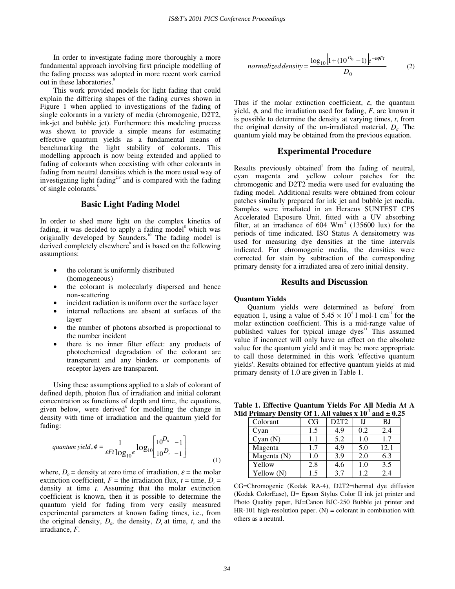In order to investigate fading more thoroughly a more fundamental approach involving first principle modelling of the fading process was adopted in more recent work carried out in these laboratories.<sup>8</sup>

This work provided models for light fading that could explain the differing shapes of the fading curves shown in Figure 1 when applied to investigations of the fading of single colorants in a variety of media (chromogenic, D2T2, ink-jet and bubble jet). Furthermore this modeling process was shown to provide a simple means for estimating effective quantum yields as a fundamental means of benchmarking the light stability of colorants. This modelling approach is now being extended and applied to fading of colorants when coexisting with other colorants in fading from neutral densities which is the more usual way of investigating light fading<sup>2,9</sup> and is compared with the fading of single colorants.<sup>8</sup>

## **Basic Light Fading Model**

In order to shed more light on the complex kinetics of fading, it was decided to apply a fading model<sup>8</sup> which was originally developed by Saunders.<sup>10</sup> The fading model is derived completely elsewhere<sup>8</sup> and is based on the following assumptions:

- the colorant is uniformly distributed (homogeneous)
- the colorant is molecularly dispersed and hence non-scattering
- incident radiation is uniform over the surface layer
- internal reflections are absent at surfaces of the layer
- the number of photons absorbed is proportional to the number incident
- there is no inner filter effect: any products of photochemical degradation of the colorant are transparent and any binders or components of receptor layers are transparent.

Using these assumptions applied to a slab of colorant of defined depth, photon flux of irradiation and initial colorant concentration as functions of depth and time, the equations, given below, were derived<sup>8</sup> for modelling the change in density with time of irradiation and the quantum yield for fading:

quantum yield, 
$$
\phi = \frac{1}{\varepsilon F t \log_{10} e} \log_{10} \left[ \frac{10^{D_o} - 1}{10^{D_c} - 1} \right]
$$
 (1)

where,  $D_0$  = density at zero time of irradiation,  $\varepsilon$  = the molar extinction coefficient,  $F =$  the irradiation flux,  $t =$  time,  $D_t =$ density at time *t*. Assuming that the molar extinction coefficient is known, then it is possible to determine the quantum yield for fading from very easily measured experimental parameters at known fading times, i.e., from the original density,  $D_{\rho}$ , the density,  $D_{\rho}$  at time, *t*, and the irradiance, *F*.

$$
normalized density = \frac{\log_{10}\left[1 + (10^{D_0} - 1)\right]e^{-\epsilon\phi Ft}}{D_0}
$$
 (2)

Thus if the molar extinction coefficient,  $\varepsilon$ , the quantum yield,  $\phi$ , and the irradiation used for fading, *F*, are known it is possible to determine the density at varying times, *t*, from the original density of the un-irradiated material,  $D<sub>o</sub>$ . The quantum yield may be obtained from the previous equation.

## **Experimental Procedure**

Results previously obtained<sup>1</sup> from the fading of neutral, cyan magenta and yellow colour patches for the chromogenic and D2T2 media were used for evaluating the fading model. Additional results were obtained from colour patches similarly prepared for ink jet and bubble jet media. Samples were irradiated in an Heraeus SUNTEST CPS Accelerated Exposure Unit, fitted with a UV absorbing filter, at an irradiance of  $604 \, \text{Wm}^2$  (135600 lux) for the periods of time indicated. ISO Status A densitometry was used for measuring dye densities at the time intervals indicated. For chromogenic media, the densities were corrected for stain by subtraction of the corresponding primary density for a irradiated area of zero initial density.

### **Results and Discussion**

#### **Quantum Yields**

Quantum yields were determined as before<sup>1</sup> from equation 1, using a value of  $5.45 \times 10^4$  l mol-1 cm<sup>-1</sup> for the molar extinction coefficient. This is a mid-range value of published values for typical image dyes<sup>11</sup> This assumed value if incorrect will only have an effect on the absolute value for the quantum yield and it may be more appropriate to call those determined in this work 'effective quantum yields'. Results obtained for effective quantum yields at mid primary density of 1.0 are given in Table 1.

**Table 1. Effective Quantum Yields For All Media At A**  Mid Primary Density Of 1. All values  $x$  10<sup> $<sup>7</sup>$ </sup> and  $\pm$  0.25</sup>

| Colorant    | CG  | D <sub>2</sub> T <sub>2</sub> | IJ  | BJ   |
|-------------|-----|-------------------------------|-----|------|
| Cvan        | 1.5 | 4.9                           | 0.2 | 2.4  |
| Cyan(N)     | 1.1 | 5.2                           | 1.0 | 1.7  |
| Magenta     | 1.7 | 4.9                           | 5.0 | 12.1 |
| Magenta (N) | 1.0 | 3.9                           | 2.0 | 6.3  |
| Yellow      | 2.8 | 4.6                           | 1.0 | 3.5  |
| Yellow (N)  | 1.5 | 37                            | 19  | 2.4  |

CG=Chromogenic (Kodak RA-4), D2T2=thermal dye diffusion (Kodak ColorEase), IJ= Epson Stylus Color II ink jet printer and Photo Quality paper, BJ=Canon BJC-250 Bubble jet printer and  $HR-101$  high-resolution paper.  $(N)$  = colorant in combination with others as a neutral.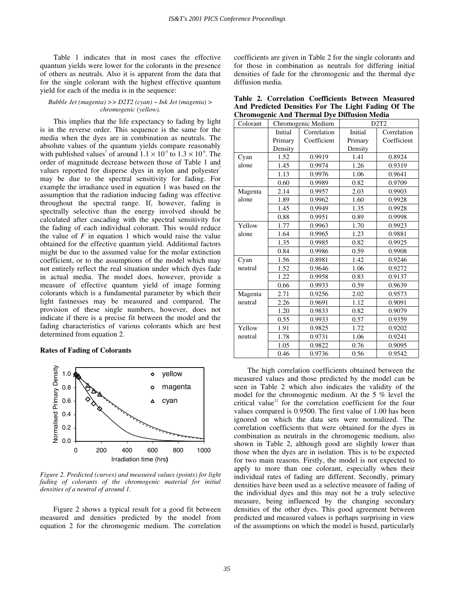Table 1 indicates that in most cases the effective quantum yields were lower for the colorants in the presence of others as neutrals. Also it is apparent from the data that for the single colorant with the highest effective quantum yield for each of the media is in the sequence:

#### *Bubble Jet (magenta) >> D2T2 (cyan) ~ Ink Jet (magenta) > chromogenic (yellow).*

This implies that the life expectancy to fading by light is in the reverse order. This sequence is the same for the media when the dyes are in combination as neutrals. The absolute values of the quantum yields compare reasonably with published values<sup>7</sup> of around  $1.1 \times 10^4$  to  $1.3 \times 10^6$ . The order of magnitude decrease between those of Table 1 and values reported for disperse dyes in nylon and polyester<sup>7</sup> may be due to the spectral sensitivity for fading. For example the irradiance used in equation 1 was based on the assumption that the radiation inducing fading was effective throughout the spectral range. If, however, fading is spectrally selective than the energy involved should be calculated after cascading with the spectral sensitivity for the fading of each individual colorant. This would reduce the value of  $F$  in equation 1 which would raise the value obtained for the effective quantum yield. Additional factors might be due to the assumed value for the molar extinction coefficient, or to the assumptions of the model which may not entirely reflect the real situation under which dyes fade in actual media. The model does, however, provide a measure of effective quantum yield of image forming colorants which is a fundamental parameter by which their light fastnesses may be measured and compared. The provision of these single numbers, however, does not indicate if there is a precise fit between the model and the fading characteristics of various colorants which are best determined from equation 2.

#### **Rates of Fading of Colorants**



*Figure 2. Predicted (curves) and measured values (points) for light*  fading of colorants of the chromogenic material for initial *densities of a neutral of around 1.* 

Figure 2 shows a typical result for a good fit between measured and densities predicted by the model from equation 2 for the chromogenic medium. The correlation coefficients are given in Table 2 for the single colorants and for those in combination as neutrals for differing initial densities of fade for the chromogenic and the thermal dye diffusion media.

|                                                    |  | Table 2. Correlation Coefficients Between Measured  |  |  |
|----------------------------------------------------|--|-----------------------------------------------------|--|--|
|                                                    |  | And Predicted Densities For The Light Fading Of The |  |  |
| <b>Chromogenic And Thermal Dye Diffusion Media</b> |  |                                                     |  |  |

| Colorant | Chromogenic Medium |             | D2T2    |             |  |
|----------|--------------------|-------------|---------|-------------|--|
|          | <b>Initial</b>     | Correlation | Initial | Correlation |  |
|          | Primary            | Coefficient | Primary | Coefficient |  |
|          | Density            |             | Density |             |  |
| Cyan     | 1.52               | 0.9919      | 1.41    | 0.8924      |  |
| alone    | 1.45               | 0.9974      | 1.26    | 0.9319      |  |
|          | 1.13               | 0.9976      | 1.06    | 0.9641      |  |
|          | 0.60               | 0.9989      | 0.82    | 0.9709      |  |
| Magenta  | 2.14               | 0.9957      | 2.03    | 0.9903      |  |
| alone    | 1.89               | 0.9962      | 1.60    | 0.9928      |  |
|          | 1.45               | 0.9949      | 1.35    | 0.9928      |  |
|          | 0.88               | 0.9951      | 0.89    | 0.9998      |  |
| Yellow   | 1.77               | 0.9963      | 1.70    | 0.9923      |  |
| alone    | 1.64               | 0.9965      | 1.23    | 0.9881      |  |
|          | 1.35               | 0.9985      | 0.82    | 0.9925      |  |
|          | 0.84               | 0.9986      | 0.59    | 0.9908      |  |
| Cyan     | 1.56               | 0.8981      | 1.42    | 0.9246      |  |
| neutral  | 1.52               | 0.9646      | 1.06    | 0.9272      |  |
|          | 1.22               | 0.9958      | 0.83    | 0.9137      |  |
|          | 0.66               | 0.9933      | 0.59    | 0.9639      |  |
| Magenta  | 2.71               | 0.9256      | 2.02    | 0.9573      |  |
| neutral  | 2.26               | 0.9691      | 1.12    | 0.9091      |  |
|          | 1.20               | 0.9833      | 0.82    | 0.9079      |  |
|          | 0.55               | 0.9933      | 0.57    | 0.9359      |  |
| Yellow   | 1.91               | 0.9825      | 1.72    | 0.9202      |  |
| neutral  | 1.78               | 0.9731      | 1.06    | 0.9241      |  |
|          | 1.05               | 0.9822      | 0.76    | 0.9095      |  |
|          | 0.46               | 0.9736      | 0.56    | 0.9542      |  |

The high correlation coefficients obtained between the measured values and those predicted by the model can be seen in Table 2 which also indicates the validity of the model for the chromogenic medium. At the 5 % level the critical value<sup>12</sup> for the correlation coefficient for the four values compared is 0.9500. The first value of 1.00 has been ignored on which the data sets were normalized. The correlation coefficients that were obtained for the dyes in combination as neutrals in the chromogenic medium, also shown in Table 2, although good are slightly lower than those when the dyes are in isolation. This is to be expected for two main reasons. Firstly, the model is not expected to apply to more than one colorant, especially when their individual rates of fading are different. Secondly, primary densities have been used as a selective measure of fading of the individual dyes and this may not be a truly selective measure, being influenced by the changing secondary densities of the other dyes. This good agreement between predicted and measured values is perhaps surprising in view of the assumptions on which the model is based, particularly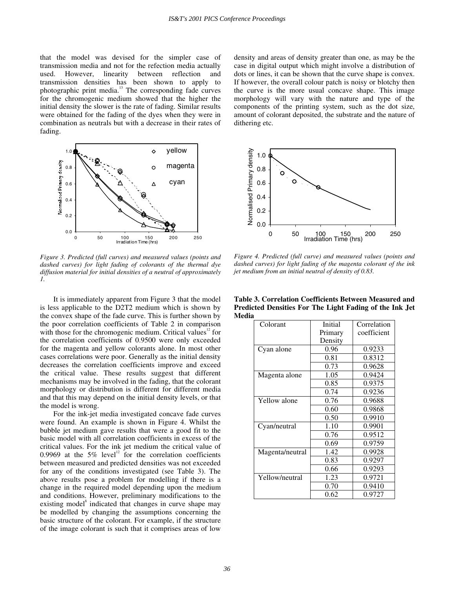that the model was devised for the simpler case of transmission media and not for the refection media actually used. However, linearity between reflection and transmission densities has been shown to apply to photographic print media. $13$  The corresponding fade curves for the chromogenic medium showed that the higher the initial density the slower is the rate of fading. Similar results were obtained for the fading of the dyes when they were in combination as neutrals but with a decrease in their rates of fading.



*Figure 3. Predicted (full curves) and measured values (points and dashed curves) for light fading of colorants of the thermal dye diffusion material for initial densities of a neutral of approximately 1.* 

It is immediately apparent from Figure 3 that the model is less applicable to the D2T2 medium which is shown by the convex shape of the fade curve. This is further shown by the poor correlation coefficients of Table 2 in comparison with those for the chromogenic medium. Critical values $12$  for the correlation coefficients of 0.9500 were only exceeded for the magenta and yellow colorants alone. In most other cases correlations were poor. Generally as the initial density decreases the correlation coefficients improve and exceed the critical value. These results suggest that different mechanisms may be involved in the fading, that the colorant morphology or distribution is different for different media and that this may depend on the initial density levels, or that the model is wrong.

For the ink-jet media investigated concave fade curves were found. An example is shown in Figure 4. Whilst the bubble jet medium gave results that were a good fit to the basic model with all correlation coefficients in excess of the critical values. For the ink jet medium the critical value of 0.9969 at the 5% level<sup>12</sup> for the correlation coefficients between measured and predicted densities was not exceeded for any of the conditions investigated (see Table 3). The above results pose a problem for modelling if there is a change in the required model depending upon the medium and conditions. However, preliminary modifications to the existing model<sup>8</sup> indicated that changes in curve shape may be modelled by changing the assumptions concerning the basic structure of the colorant. For example, if the structure of the image colorant is such that it comprises areas of low

density and areas of density greater than one, as may be the case in digital output which might involve a distribution of dots or lines, it can be shown that the curve shape is convex. If however, the overall colour patch is noisy or blotchy then the curve is the more usual concave shape. This image morphology will vary with the nature and type of the components of the printing system, such as the dot size, amount of colorant deposited, the substrate and the nature of dithering etc.



*Figure 4. Predicted (full curve) and measured values (points and dashed curves) for light fading of the magenta colorant of the ink jet medium from an initial neutral of density of 0.83.* 

| Colorant        | Initial | Correlation |
|-----------------|---------|-------------|
|                 | Primary | coefficient |
|                 | Density |             |
| Cyan alone      | 0.96    | 0.9233      |
|                 | 0.81    | 0.8312      |
|                 | 0.73    | 0.9628      |
| Magenta alone   | 1.05    | 0.9424      |
|                 | 0.85    | 0.9375      |
|                 | 0.74    | 0.9236      |
| Yellow alone    | 0.76    | 0.9688      |
|                 | 0.60    | 0.9868      |
|                 | 0.50    | 0.9910      |
| Cyan/neutral    | 1.10    | 0.9901      |
|                 | 0.76    | 0.9512      |
|                 | 0.69    | 0.9759      |
| Magenta/neutral | 1.42    | 0.9928      |
|                 | 0.83    | 0.9297      |
|                 | 0.66    | 0.9293      |
| Yellow/neutral  | 1.23    | 0.9721      |
|                 | 0.70    | 0.9410      |
|                 | 0.62    | 0.9727      |

**Table 3. Correlation Coefficients Between Measured and Predicted Densities For The Light Fading of the Ink Jet Media**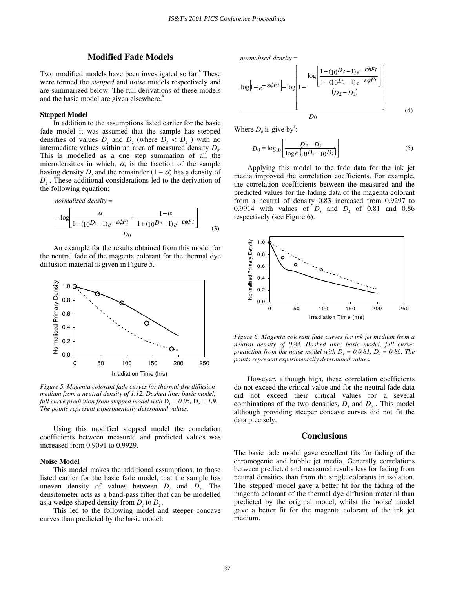# **Modified Fade Models**

Two modified models have been investigated so far.<sup>8</sup> These were termed the *stepped* and *noise* models respectively and are summarized below. The full derivations of these models and the basic model are given elsewhere.<sup>8</sup>

#### **Stepped Model**

In addition to the assumptions listed earlier for the basic fade model it was assumed that the sample has stepped densities of values  $D_i$ , and  $D_j$ , (where  $D_i < D_j$ ) with no intermediate values within an area of measured density  $D<sub>o</sub>$ . This is modelled as a one step summation of all the microdensities in which,  $\alpha$ , is the fraction of the sample having density  $D_i$ , and the remainder  $(1 - \alpha)$  has a density of *D<sub>2</sub>*. These additional considerations led to the derivation of the following equation:

normalised density =  
\n
$$
-\log\left[\frac{\alpha}{1+(10^{D_1}-1)e^{-\epsilon\phi Ft}}+\frac{1-\alpha}{1+(10^{D_2}-1)e^{-\epsilon\phi Ft}}\right]
$$
\n
$$
D_0
$$
\n(3)

An example for the results obtained from this model for the neutral fade of the magenta colorant for the thermal dye diffusion material is given in Figure 5.



*Figure 5. Magenta colorant fade curves for thermal dye diffusion medium from a neutral density of 1.12. Dashed line: basic model, full curve prediction from stepped model with*  $D_1 = 0.05$ ,  $D_2 = 1.9$ . *The points represent experimentally determined values.* 

Using this modified stepped model the correlation coefficients between measured and predicted values was increased from 0.9091 to 0.9929.

#### **Noise Model**

This model makes the additional assumptions, to those listed earlier for the basic fade model, that the sample has uneven density of values between  $D_i$  and  $D_j$ . The densitometer acts as a band-pass filter that can be modelled as a wedge shaped density from  $D_1$  to  $D_2$ .

This led to the following model and steeper concave curves than predicted by the basic model:

*normalised density* =

$$
\log\left[1 - e^{-\mathcal{E}\phi Ft}\right] - \log\left[1 - \frac{\log\left[\frac{1 + (10^{D_2} - 1)e^{-\mathcal{E}\phi Ft}}{1 + (10^{D_1} - 1)e^{-\mathcal{E}\phi Ft}}\right]}{(D_2 - D_1)}\right]
$$
\n
$$
D_0
$$
\n(4)

Where  $D_0$  is give by<sup>8</sup>:

$$
D_0 = \log_{10} \left[ \frac{D_2 - D_1}{\log e \left( \log P - 10 D_2 \right)} \right]
$$
 (5)

Applying this model to the fade data for the ink jet media improved the correlation coefficients. For example, the correlation coefficients between the measured and the predicted values for the fading data of the magenta colorant from a neutral of density 0.83 increased from 0.9297 to 0.9914 with values of  $D<sub>i</sub>$  and  $D<sub>2</sub>$  of 0.81 and 0.86 respectively (see Figure 6).



*Figure 6. Magenta colorant fade curves for ink jet medium from a neutral density of 0.83. Dashed line: basic model, full curve: prediction from the noise model with*  $D_1 = 0.0.81$ ,  $D_2 = 0.86$ . The *points represent experimentally determined values.* 

However, although high, these correlation coefficients do not exceed the critical value and for the neutral fade data did not exceed their critical values for a several combinations of the two densities,  $D_i$  and  $D_j$ . This model although providing steeper concave curves did not fit the data precisely.

#### **Conclusions**

The basic fade model gave excellent fits for fading of the chromogenic and bubble jet media. Generally correlations between predicted and measured results less for fading from neutral densities than from the single colorants in isolation. The 'stepped' model gave a better fit for the fading of the magenta colorant of the thermal dye diffusion material than predicted by the original model, whilst the 'noise' model gave a better fit for the magenta colorant of the ink jet medium.